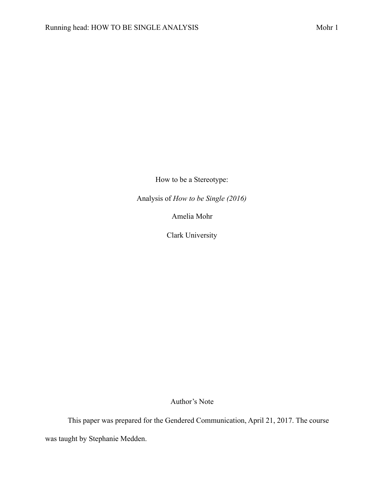How to be a Stereotype:

Analysis of *How to be Single (2016)*

Amelia Mohr

Clark University

Author's Note

This paper was prepared for the Gendered Communication, April 21, 2017. The course was taught by Stephanie Medden.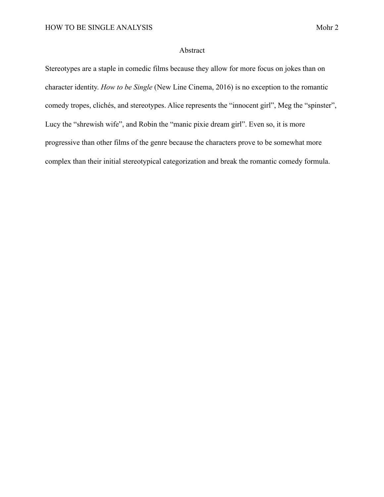## Abstract

Stereotypes are a staple in comedic films because they allow for more focus on jokes than on character identity. *How to be Single* (New Line Cinema, 2016) is no exception to the romantic comedy tropes, clichés, and stereotypes. Alice represents the "innocent girl", Meg the "spinster", Lucy the "shrewish wife", and Robin the "manic pixie dream girl". Even so, it is more progressive than other films of the genre because the characters prove to be somewhat more complex than their initial stereotypical categorization and break the romantic comedy formula.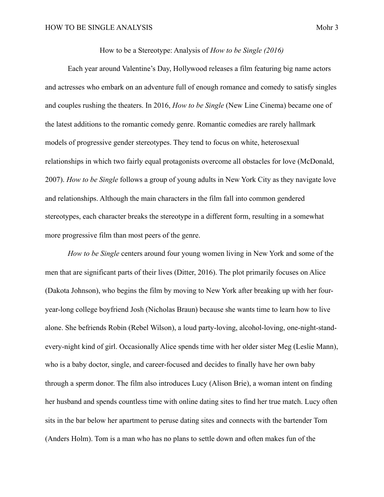How to be a Stereotype: Analysis of *How to be Single (2016)*

 Each year around Valentine's Day, Hollywood releases a film featuring big name actors and actresses who embark on an adventure full of enough romance and comedy to satisfy singles and couples rushing the theaters. In 2016, *How to be Single* (New Line Cinema) became one of the latest additions to the romantic comedy genre. Romantic comedies are rarely hallmark models of progressive gender stereotypes. They tend to focus on white, heterosexual relationships in which two fairly equal protagonists overcome all obstacles for love (McDonald, 2007). *How to be Single* follows a group of young adults in New York City as they navigate love and relationships. Although the main characters in the film fall into common gendered stereotypes, each character breaks the stereotype in a different form, resulting in a somewhat more progressive film than most peers of the genre.

*How to be Single* centers around four young women living in New York and some of the men that are significant parts of their lives (Ditter, 2016). The plot primarily focuses on Alice (Dakota Johnson), who begins the film by moving to New York after breaking up with her fouryear-long college boyfriend Josh (Nicholas Braun) because she wants time to learn how to live alone. She befriends Robin (Rebel Wilson), a loud party-loving, alcohol-loving, one-night-standevery-night kind of girl. Occasionally Alice spends time with her older sister Meg (Leslie Mann), who is a baby doctor, single, and career-focused and decides to finally have her own baby through a sperm donor. The film also introduces Lucy (Alison Brie), a woman intent on finding her husband and spends countless time with online dating sites to find her true match. Lucy often sits in the bar below her apartment to peruse dating sites and connects with the bartender Tom (Anders Holm). Tom is a man who has no plans to settle down and often makes fun of the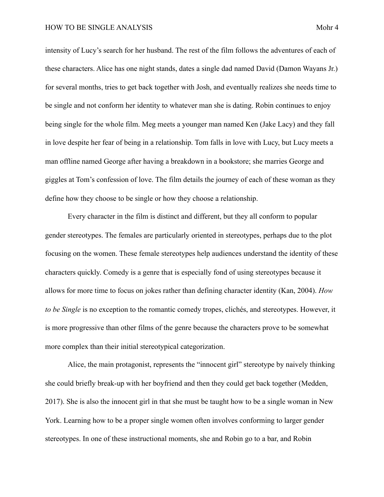intensity of Lucy's search for her husband. The rest of the film follows the adventures of each of these characters. Alice has one night stands, dates a single dad named David (Damon Wayans Jr.) for several months, tries to get back together with Josh, and eventually realizes she needs time to be single and not conform her identity to whatever man she is dating. Robin continues to enjoy being single for the whole film. Meg meets a younger man named Ken (Jake Lacy) and they fall in love despite her fear of being in a relationship. Tom falls in love with Lucy, but Lucy meets a man offline named George after having a breakdown in a bookstore; she marries George and giggles at Tom's confession of love. The film details the journey of each of these woman as they define how they choose to be single or how they choose a relationship.

 Every character in the film is distinct and different, but they all conform to popular gender stereotypes. The females are particularly oriented in stereotypes, perhaps due to the plot focusing on the women. These female stereotypes help audiences understand the identity of these characters quickly. Comedy is a genre that is especially fond of using stereotypes because it allows for more time to focus on jokes rather than defining character identity (Kan, 2004). *How to be Single* is no exception to the romantic comedy tropes, clichés, and stereotypes. However, it is more progressive than other films of the genre because the characters prove to be somewhat more complex than their initial stereotypical categorization.

 Alice, the main protagonist, represents the "innocent girl" stereotype by naively thinking she could briefly break-up with her boyfriend and then they could get back together (Medden, 2017). She is also the innocent girl in that she must be taught how to be a single woman in New York. Learning how to be a proper single women often involves conforming to larger gender stereotypes. In one of these instructional moments, she and Robin go to a bar, and Robin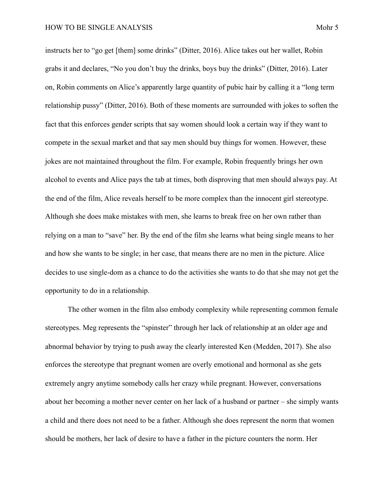instructs her to "go get [them] some drinks" (Ditter, 2016). Alice takes out her wallet, Robin grabs it and declares, "No you don't buy the drinks, boys buy the drinks" (Ditter, 2016). Later on, Robin comments on Alice's apparently large quantity of pubic hair by calling it a "long term relationship pussy" (Ditter, 2016). Both of these moments are surrounded with jokes to soften the fact that this enforces gender scripts that say women should look a certain way if they want to compete in the sexual market and that say men should buy things for women. However, these jokes are not maintained throughout the film. For example, Robin frequently brings her own alcohol to events and Alice pays the tab at times, both disproving that men should always pay. At the end of the film, Alice reveals herself to be more complex than the innocent girl stereotype. Although she does make mistakes with men, she learns to break free on her own rather than relying on a man to "save" her. By the end of the film she learns what being single means to her and how she wants to be single; in her case, that means there are no men in the picture. Alice decides to use single-dom as a chance to do the activities she wants to do that she may not get the opportunity to do in a relationship.

 The other women in the film also embody complexity while representing common female stereotypes. Meg represents the "spinster" through her lack of relationship at an older age and abnormal behavior by trying to push away the clearly interested Ken (Medden, 2017). She also enforces the stereotype that pregnant women are overly emotional and hormonal as she gets extremely angry anytime somebody calls her crazy while pregnant. However, conversations about her becoming a mother never center on her lack of a husband or partner – she simply wants a child and there does not need to be a father. Although she does represent the norm that women should be mothers, her lack of desire to have a father in the picture counters the norm. Her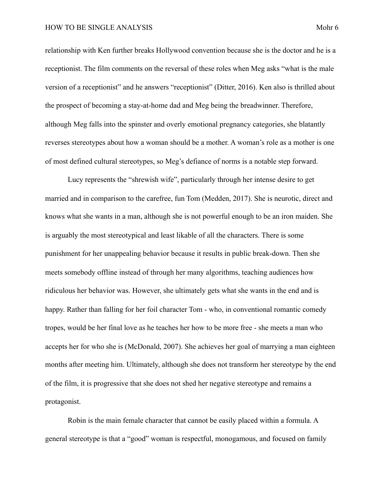relationship with Ken further breaks Hollywood convention because she is the doctor and he is a receptionist. The film comments on the reversal of these roles when Meg asks "what is the male version of a receptionist" and he answers "receptionist" (Ditter, 2016). Ken also is thrilled about the prospect of becoming a stay-at-home dad and Meg being the breadwinner. Therefore, although Meg falls into the spinster and overly emotional pregnancy categories, she blatantly reverses stereotypes about how a woman should be a mother. A woman's role as a mother is one of most defined cultural stereotypes, so Meg's defiance of norms is a notable step forward.

 Lucy represents the "shrewish wife", particularly through her intense desire to get married and in comparison to the carefree, fun Tom (Medden, 2017). She is neurotic, direct and knows what she wants in a man, although she is not powerful enough to be an iron maiden. She is arguably the most stereotypical and least likable of all the characters. There is some punishment for her unappealing behavior because it results in public break-down. Then she meets somebody offline instead of through her many algorithms, teaching audiences how ridiculous her behavior was. However, she ultimately gets what she wants in the end and is happy. Rather than falling for her foil character Tom - who, in conventional romantic comedy tropes, would be her final love as he teaches her how to be more free - she meets a man who accepts her for who she is (McDonald, 2007). She achieves her goal of marrying a man eighteen months after meeting him. Ultimately, although she does not transform her stereotype by the end of the film, it is progressive that she does not shed her negative stereotype and remains a protagonist.

 Robin is the main female character that cannot be easily placed within a formula. A general stereotype is that a "good" woman is respectful, monogamous, and focused on family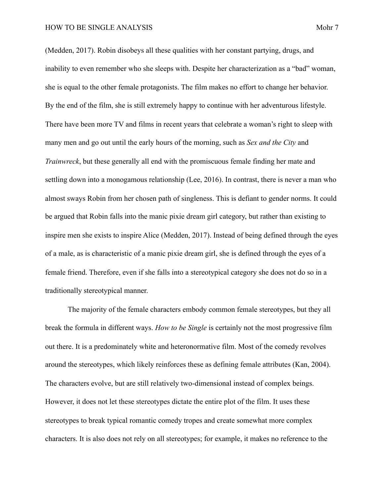(Medden, 2017). Robin disobeys all these qualities with her constant partying, drugs, and inability to even remember who she sleeps with. Despite her characterization as a "bad" woman, she is equal to the other female protagonists. The film makes no effort to change her behavior. By the end of the film, she is still extremely happy to continue with her adventurous lifestyle. There have been more TV and films in recent years that celebrate a woman's right to sleep with many men and go out until the early hours of the morning, such as *Sex and the City* and *Trainwreck*, but these generally all end with the promiscuous female finding her mate and settling down into a monogamous relationship (Lee, 2016). In contrast, there is never a man who almost sways Robin from her chosen path of singleness. This is defiant to gender norms. It could be argued that Robin falls into the manic pixie dream girl category, but rather than existing to inspire men she exists to inspire Alice (Medden, 2017). Instead of being defined through the eyes of a male, as is characteristic of a manic pixie dream girl, she is defined through the eyes of a female friend. Therefore, even if she falls into a stereotypical category she does not do so in a traditionally stereotypical manner.

 The majority of the female characters embody common female stereotypes, but they all break the formula in different ways. *How to be Single* is certainly not the most progressive film out there. It is a predominately white and heteronormative film. Most of the comedy revolves around the stereotypes, which likely reinforces these as defining female attributes (Kan, 2004). The characters evolve, but are still relatively two-dimensional instead of complex beings. However, it does not let these stereotypes dictate the entire plot of the film. It uses these stereotypes to break typical romantic comedy tropes and create somewhat more complex characters. It is also does not rely on all stereotypes; for example, it makes no reference to the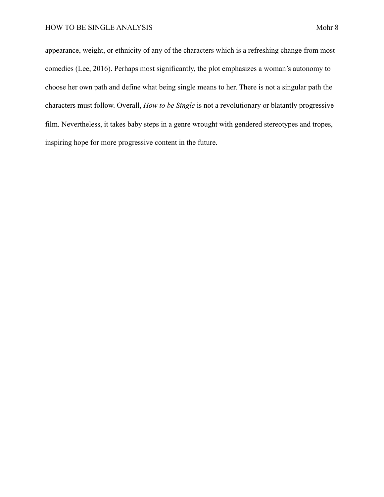appearance, weight, or ethnicity of any of the characters which is a refreshing change from most comedies (Lee, 2016). Perhaps most significantly, the plot emphasizes a woman's autonomy to choose her own path and define what being single means to her. There is not a singular path the characters must follow. Overall, *How to be Single* is not a revolutionary or blatantly progressive film. Nevertheless, it takes baby steps in a genre wrought with gendered stereotypes and tropes, inspiring hope for more progressive content in the future.